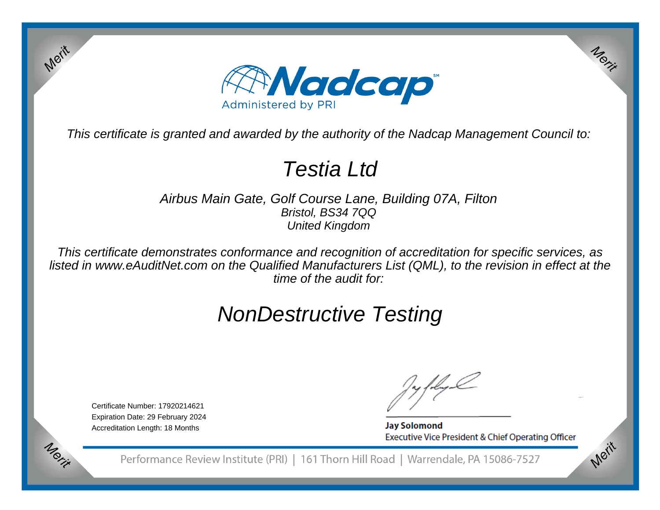

This certificate is granted and awarded by the authority of the Nadcap Management Council to:

# Testia Ltd

Airbus Main Gate, Golf Course Lane, Building 07A, FiltonBristol, BS34 7QQUnited Kingdom

This certificate demonstrates conformance and recognition of accreditation for specific services, as listed in www.eAuditNet.com on the Qualified Manufacturers List (QML), to the revision in effect at thetime of the audit for:

# NonDestructive Testing

Certificate Number: 17920214621 Expiration Date: 29 February 2024Accreditation Length: 18 Months

Merit

Merit

**Jay Solomond** Executive Vice President & Chief Operating Officer Merit

Merit

Performance Review Institute (PRI) | 161 Thorn Hill Road | Warrendale, PA 15086-7527